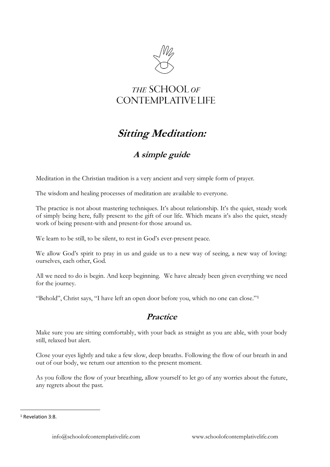

## THE SCHOOL OF **CONTEMPLATIVE LIFE**

## **Sitting Meditation:**

## **A simple guide**

Meditation in the Christian tradition is a very ancient and very simple form of prayer.

The wisdom and healing processes of meditation are available to everyone.

The practice is not about mastering techniques. It's about relationship. It's the quiet, steady work of simply being here, fully present to the gift of our life. Which means it's also the quiet, steady work of being present-with and present-for those around us.

We learn to be still, to be silent, to rest in God's ever-present peace.

We allow God's spirit to pray in us and guide us to a new way of seeing, a new way of loving: ourselves, each other, God.

All we need to do is begin. And keep beginning. We have already been given everything we need for the journey.

"Behold", Christ says, "I have left an open door before you, which no one can close."<sup>1</sup>

## **Practice**

Make sure you are sitting comfortably, with your back as straight as you are able, with your body still, relaxed but alert.

Close your eyes lightly and take a few slow, deep breaths. Following the flow of our breath in and out of our body, we return our attention to the present moment.

As you follow the flow of your breathing, allow yourself to let go of any worries about the future, any regrets about the past.

<sup>&</sup>lt;sup>1</sup> Revelation 3:8.